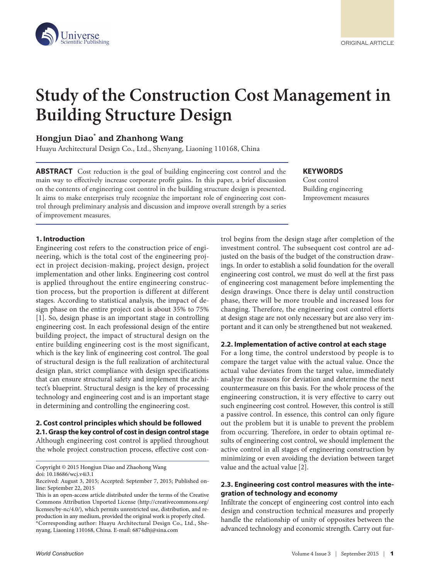

# **Study of the Construction Cost Management in Building Structure Design**

# **Hongjun Diao\* and Zhanhong Wang**

Huayu Architectural Design Co., Ltd., Shenyang, Liaoning 110168, China

**ABSTRACT** Cost reduction is the goal of building engineering cost control and the main way to effectively increase corporate profit gains. In this paper, a brief discussion on the contents of engineering cost control in the building structure design is presented. It aims to make enterprises truly recognize the important role of engineering cost control through preliminary analysis and discussion and improve overall strength by a series of improvement measures.

**KEYWORDS** Cost control

Building engineering Improvement measures

#### **1. Introduction**

Engineering cost refers to the construction price of engineering, which is the total cost of the engineering project in project decision-making, project design, project implementation and other links. Engineering cost control is applied throughout the entire engineering construction process, but the proportion is different at different stages. According to statistical analysis, the impact of design phase on the entire project cost is about 35% to 75% [1]. So, design phase is an important stage in controlling engineering cost. In each professional design of the entire building project, the impact of structural design on the entire building engineering cost is the most significant, which is the key link of engineering cost control. The goal of structural design is the full realization of architectural design plan, strict compliance with design specifications that can ensure structural safety and implement the architect's blueprint. Structural design is the key of processing technology and engineering cost and is an important stage in determining and controlling the engineering cost.

#### **2. Cost control principles which should be followed 2.1. Grasp the key control of cost in design control stage**

Although engineering cost control is applied throughout the whole project construction process, effective cost con-

Copyright © 2015 Hongjun Diao and Zhaohong Wang doi: 10.18686/wcj.v4i3.1

trol begins from the design stage after completion of the investment control. The subsequent cost control are adjusted on the basis of the budget of the construction drawings. In order to establish a solid foundation for the overall engineering cost control, we must do well at the first pass of engineering cost management before implementing the design drawings. Once there is delay until construction phase, there will be more trouble and increased loss for changing. Therefore, the engineering cost control efforts at design stage are not only necessary but are also very important and it can only be strengthened but not weakened.

# **2.2. Implementation of active control at each stage**

For a long time, the control understood by people is to compare the target value with the actual value. Once the actual value deviates from the target value, immediately analyze the reasons for deviation and determine the next countermeasure on this basis. For the whole process of the engineering construction, it is very effective to carry out such engineering cost control. However, this control is still a passive control. In essence, this control can only figure out the problem but it is unable to prevent the problem from occurring. Therefore, in order to obtain optimal results of engineering cost control, we should implement the active control in all stages of engineering construction by minimizing or even avoiding the deviation between target value and the actual value [2].

# **2.3. Engineering cost control measures with the integration of technology and economy**

Infiltrate the concept of engineering cost control into each design and construction technical measures and properly handle the relationship of unity of opposites between the advanced technology and economic strength. Carry out fur-

Received: August 3, 2015; Accepted: September 7, 2015; Published online: September 22, 2015

This is an open-access article distributed under the terms of the Creative Commons Attribution Unported License (http://creativecommons.org/ licenses/by-nc/4.0/), which permits unrestricted use, distribution, and reproduction in any medium, provided the original work is properly cited. \*Corresponding author: Huayu Architectural Design Co., Ltd., Shenyang, Liaoning 110168, China. E-mail: 6874dhj@sina.com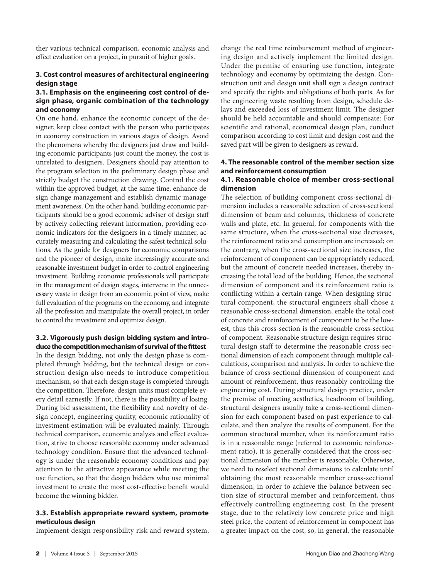ther various technical comparison, economic analysis and effect evaluation on a project, in pursuit of higher goals.

# **3. Cost control measures of architectural engineering design stage**

#### **3.1. Emphasis on the engineering cost control of design phase, organic combination of the technology and economy**

On one hand, enhance the economic concept of the designer, keep close contact with the person who participates in economy construction in various stages of design. Avoid the phenomena whereby the designers just draw and building economic participants just count the money, the cost is unrelated to designers. Designers should pay attention to the program selection in the preliminary design phase and strictly budget the construction drawing. Control the cost within the approved budget, at the same time, enhance design change management and establish dynamic management awareness. On the other hand, building economic participants should be a good economic adviser of design staff by actively collecting relevant information, providing economic indicators for the designers in a timely manner, accurately measuring and calculating the safest technical solutions. As the guide for designers for economic comparisons and the pioneer of design, make increasingly accurate and reasonable investment budget in order to control engineering investment. Building economic professionals will participate in the management of design stages, intervene in the unnecessary waste in design from an economic point of view, make full evaluation of the programs on the economy, and integrate all the profession and manipulate the overall project, in order to control the investment and optimize design.

**3.2. Vigorously push design bidding system and introduce the competition mechanism of survival of the fittest**

In the design bidding, not only the design phase is completed through bidding, but the technical design or construction design also needs to introduce competition mechanism, so that each design stage is completed through the competition. Therefore, design units must complete every detail earnestly. If not, there is the possibility of losing. During bid assessment, the flexibility and novelty of design concept, engineering quality, economic rationality of investment estimation will be evaluated mainly. Through technical comparison, economic analysis and effect evaluation, strive to choose reasonable economy under advanced technology condition. Ensure that the advanced technology is under the reasonable economy conditions and pay attention to the attractive appearance while meeting the use function, so that the design bidders who use minimal investment to create the most cost-effective benefit would become the winning bidder.

# **3.3. Establish appropriate reward system, promote meticulous design**

Implement design responsibility risk and reward system,

change the real time reimbursement method of engineering design and actively implement the limited design. Under the premise of ensuring use function, integrate technology and economy by optimizing the design. Construction unit and design unit shall sign a design contract and specify the rights and obligations of both parts. As for the engineering waste resulting from design, schedule delays and exceeded loss of investment limit. The designer should be held accountable and should compensate: For scientific and rational, economical design plan, conduct comparison according to cost limit and design cost and the saved part will be given to designers as reward.

# **4. The reasonable control of the member section size and reinforcement consumption**

# **4.1. Reasonable choice of member cross-sectional dimension**

The selection of building component cross-sectional dimension includes a reasonable selection of cross-sectional dimension of beam and columns, thickness of concrete walls and plate, etc. In general, for components with the same structure, when the cross-sectional size decreases, the reinforcement ratio and consumption are increased; on the contrary, when the cross-sectional size increases, the reinforcement of component can be appropriately reduced, but the amount of concrete needed increases, thereby increasing the total load of the building. Hence, the sectional dimension of component and its reinforcement ratio is conflicting within a certain range. When designing structural component, the structural engineers shall chose a reasonable cross-sectional dimension, enable the total cost of concrete and reinforcement of component to be the lowest, thus this cross-section is the reasonable cross-section of component. Reasonable structure design requires structural design staff to determine the reasonable cross-sectional dimension of each component through multiple calculations, comparison and analysis. In order to achieve the balance of cross-sectional dimension of component and amount of reinforcement, thus reasonably controlling the engineering cost. During structural design practice, under the premise of meeting aesthetics, headroom of building, structural designers usually take a cross-sectional dimension for each component based on past experience to calculate, and then analyze the results of component. For the common structural member, when its reinforcement ratio is in a reasonable range (referred to economic reinforcement ratio), it is generally considered that the cross-sectional dimension of the member is reasonable. Otherwise, we need to reselect sectional dimensions to calculate until obtaining the most reasonable member cross-sectional dimension, in order to achieve the balance between section size of structural member and reinforcement, thus effectively controlling engineering cost. In the present stage, due to the relatively low concrete price and high steel price, the content of reinforcement in component has a greater impact on the cost, so, in general, the reasonable